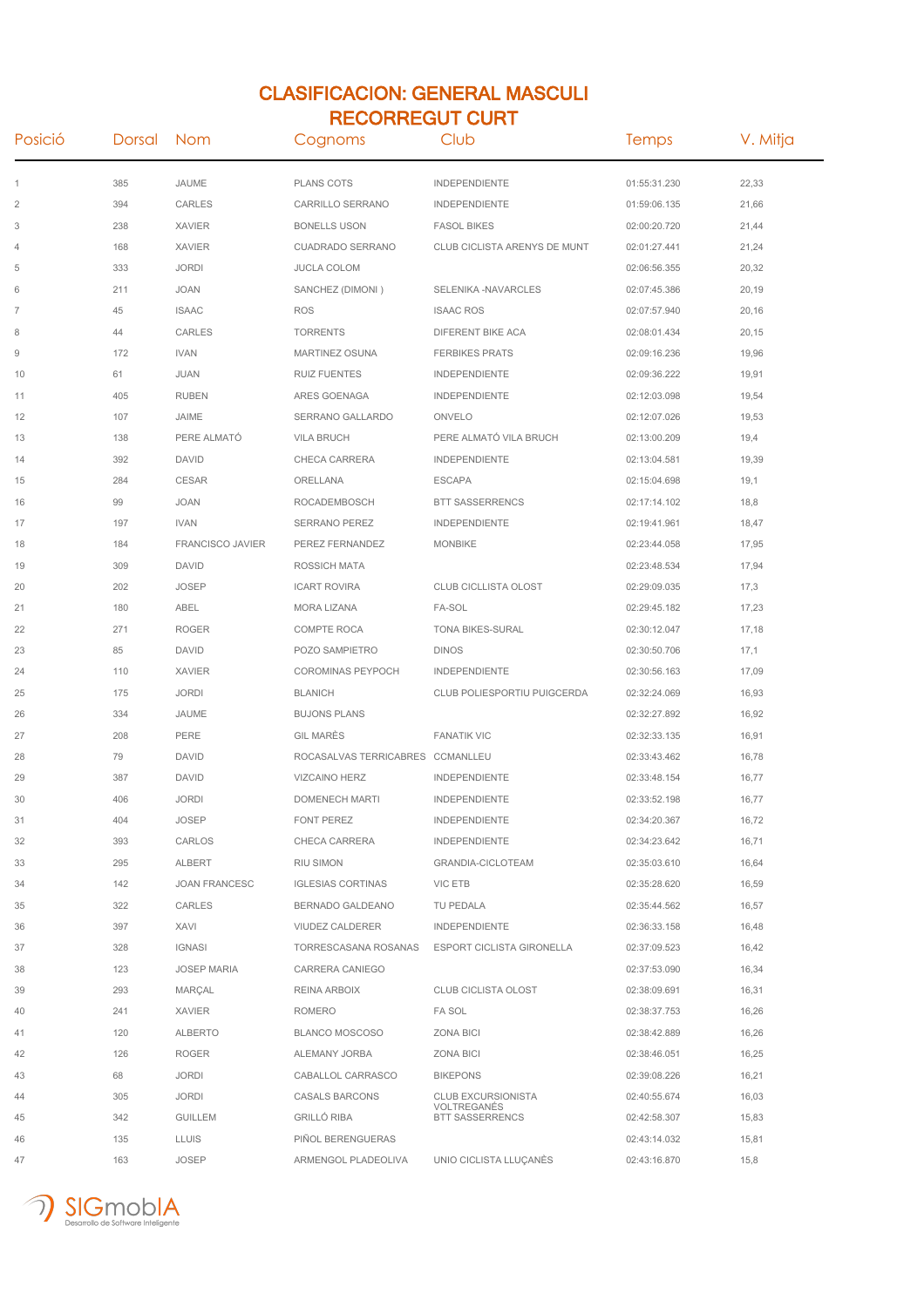## CLASIFICACION: GENERAL MASCULI RECORREGUT CURT

| Posició                | Dorsal | Nom                     | Cognoms                     | Club                                  | Temps        | V. Mitja |
|------------------------|--------|-------------------------|-----------------------------|---------------------------------------|--------------|----------|
| 1                      | 385    | JAUME                   | <b>PLANS COTS</b>           | INDEPENDIENTE                         | 01:55:31.230 | 22,33    |
| $\overline{2}$         | 394    | <b>CARLES</b>           | CARRILLO SERRANO            | <b>INDEPENDIENTE</b>                  | 01:59:06.135 | 21,66    |
| 3                      | 238    | <b>XAVIER</b>           | <b>BONELLS USON</b>         | <b>FASOL BIKES</b>                    | 02:00:20.720 | 21,44    |
| 4                      | 168    | <b>XAVIER</b>           | <b>CUADRADO SERRANO</b>     | CLUB CICLISTA ARENYS DE MUNT          | 02:01:27.441 | 21,24    |
| 5                      | 333    | <b>JORDI</b>            | <b>JUCLA COLOM</b>          |                                       | 02:06:56.355 | 20,32    |
| 6                      | 211    | <b>JOAN</b>             | SANCHEZ (DIMONI)            | SELENIKA -NAVARCLES                   | 02:07:45.386 | 20,19    |
| $\overline{7}$         | 45     | <b>ISAAC</b>            | <b>ROS</b>                  | <b>ISAAC ROS</b>                      | 02:07:57.940 | 20,16    |
| 8                      | 44     | CARLES                  | <b>TORRENTS</b>             | DIFERENT BIKE ACA                     | 02:08:01.434 | 20,15    |
| $\mathrel{\mathsf{g}}$ | 172    | <b>IVAN</b>             | <b>MARTINEZ OSUNA</b>       | <b>FERBIKES PRATS</b>                 | 02:09:16.236 | 19,96    |
| 10                     | 61     | JUAN                    | <b>RUIZ FUENTES</b>         | <b>INDEPENDIENTE</b>                  | 02:09:36.222 | 19,91    |
| 11                     | 405    | <b>RUBEN</b>            | ARES GOENAGA                | <b>INDEPENDIENTE</b>                  | 02:12:03.098 | 19,54    |
| 12                     | 107    | JAIME                   | SERRANO GALLARDO            | ONVELO                                | 02:12:07.026 | 19,53    |
| 13                     | 138    | PERE ALMATÓ             | <b>VILA BRUCH</b>           | PERE ALMATÓ VILA BRUCH                | 02:13:00.209 | 19,4     |
| 14                     | 392    | <b>DAVID</b>            | CHECA CARRERA               | <b>INDEPENDIENTE</b>                  | 02:13:04.581 | 19,39    |
| 15                     | 284    | <b>CESAR</b>            | ORELLANA                    | <b>ESCAPA</b>                         | 02:15:04.698 | 19,1     |
| 16                     | 99     | <b>JOAN</b>             | ROCADEMBOSCH                | <b>BTT SASSERRENCS</b>                | 02:17:14.102 | 18,8     |
| 17                     | 197    | <b>IVAN</b>             | SERRANO PEREZ               | <b>INDEPENDIENTE</b>                  | 02:19:41.961 | 18,47    |
| 18                     | 184    | <b>FRANCISCO JAVIER</b> | PEREZ FERNANDEZ             | <b>MONBIKE</b>                        | 02:23:44.058 | 17,95    |
| 19                     | 309    | <b>DAVID</b>            | <b>ROSSICH MATA</b>         |                                       | 02:23:48.534 | 17,94    |
| 20                     | 202    | <b>JOSEP</b>            | <b>ICART ROVIRA</b>         | <b>CLUB CICLLISTA OLOST</b>           | 02:29:09.035 | 17,3     |
| 21                     | 180    | ABEL                    | <b>MORA LIZANA</b>          | FA-SOL                                | 02:29:45.182 | 17,23    |
| 22                     | 271    | <b>ROGER</b>            | <b>COMPTE ROCA</b>          | <b>TONA BIKES-SURAL</b>               | 02:30:12.047 | 17,18    |
| 23                     | 85     | <b>DAVID</b>            | POZO SAMPIETRO              | <b>DINOS</b>                          | 02:30:50.706 | 17,1     |
| 24                     | 110    | <b>XAVIER</b>           | COROMINAS PEYPOCH           | <b>INDEPENDIENTE</b>                  | 02:30:56.163 | 17,09    |
| 25                     | 175    | <b>JORDI</b>            | <b>BLANICH</b>              | CLUB POLIESPORTIU PUIGCERDA           | 02:32:24.069 | 16,93    |
| 26                     | 334    | JAUME                   | <b>BUJONS PLANS</b>         |                                       | 02:32:27.892 | 16,92    |
| 27                     | 208    | PERE                    | <b>GIL MARES</b>            | <b>FANATIK VIC</b>                    | 02:32:33.135 | 16,91    |
| 28                     | 79     | <b>DAVID</b>            | ROCASALVAS TERRICABRES      | CCMANLLEU                             | 02:33:43.462 | 16,78    |
| 29                     | 387    | <b>DAVID</b>            | <b>VIZCAINO HERZ</b>        | <b>INDEPENDIENTE</b>                  | 02:33:48.154 | 16,77    |
| 30                     | 406    | <b>JORDI</b>            | <b>DOMENECH MARTI</b>       | <b>INDEPENDIENTE</b>                  | 02:33:52.198 | 16,77    |
| 31                     | 404    | <b>JOSEP</b>            | FONT PEREZ                  | INDEPENDIENTE                         | 02:34:20.367 | 16,72    |
| 32                     | 393    | CARLOS                  | CHECA CARRERA               | INDEPENDIENTE                         | 02:34:23.642 | 16,71    |
| 33                     | 295    | ALBERT                  | RIU SIMON                   | <b>GRANDIA-CICLOTEAM</b>              | 02:35:03.610 | 16,64    |
| 34                     | 142    | <b>JOAN FRANCESC</b>    | <b>IGLESIAS CORTINAS</b>    | VIC ETB                               | 02:35:28.620 | 16,59    |
| 35                     | 322    | CARLES                  | BERNADO GALDEANO            | TU PEDALA                             | 02:35:44.562 | 16,57    |
| 36                     | 397    | <b>XAVI</b>             | VIUDEZ CALDERER             | <b>INDEPENDIENTE</b>                  | 02:36:33.158 | 16,48    |
| 37                     | 328    | <b>IGNASI</b>           | <b>TORRESCASANA ROSANAS</b> | ESPORT CICLISTA GIRONELLA             | 02:37:09.523 | 16,42    |
| 38                     | 123    | <b>JOSEP MARIA</b>      | CARRERA CANIEGO             |                                       | 02:37:53.090 | 16,34    |
| 39                     | 293    | MARÇAL                  | REINA ARBOIX                | <b>CLUB CICLISTA OLOST</b>            | 02:38:09.691 | 16,31    |
| 40                     | 241    | <b>XAVIER</b>           | <b>ROMERO</b>               | <b>FA SOL</b>                         | 02:38:37.753 | 16,26    |
| 41                     | 120    | ALBERTO                 | BLANCO MOSCOSO              | ZONA BICI                             | 02:38:42.889 | 16,26    |
| 42                     | 126    | <b>ROGER</b>            | ALEMANY JORBA               | <b>ZONA BICI</b>                      | 02:38:46.051 | 16,25    |
| 43                     | 68     | <b>JORDI</b>            | CABALLOL CARRASCO           | <b>BIKEPONS</b>                       | 02:39:08.226 | 16,21    |
| 44                     | 305    | <b>JORDI</b>            | <b>CASALS BARCONS</b>       | <b>CLUB EXCURSIONISTA</b>             | 02:40:55.674 | 16,03    |
| 45                     | 342    | <b>GUILLEM</b>          | <b>GRILLO RIBA</b>          | VOLTREGANES<br><b>BTT SASSERRENCS</b> | 02:42:58.307 | 15,83    |
| 46                     | 135    | <b>LLUIS</b>            | PIÑOL BERENGUERAS           |                                       | 02:43:14.032 | 15,81    |
| 47                     | 163    | <b>JOSEP</b>            | ARMENGOL PLADEOLIVA         | UNIO CICLISTA LLUÇANÈS                | 02:43:16.870 | 15,8     |

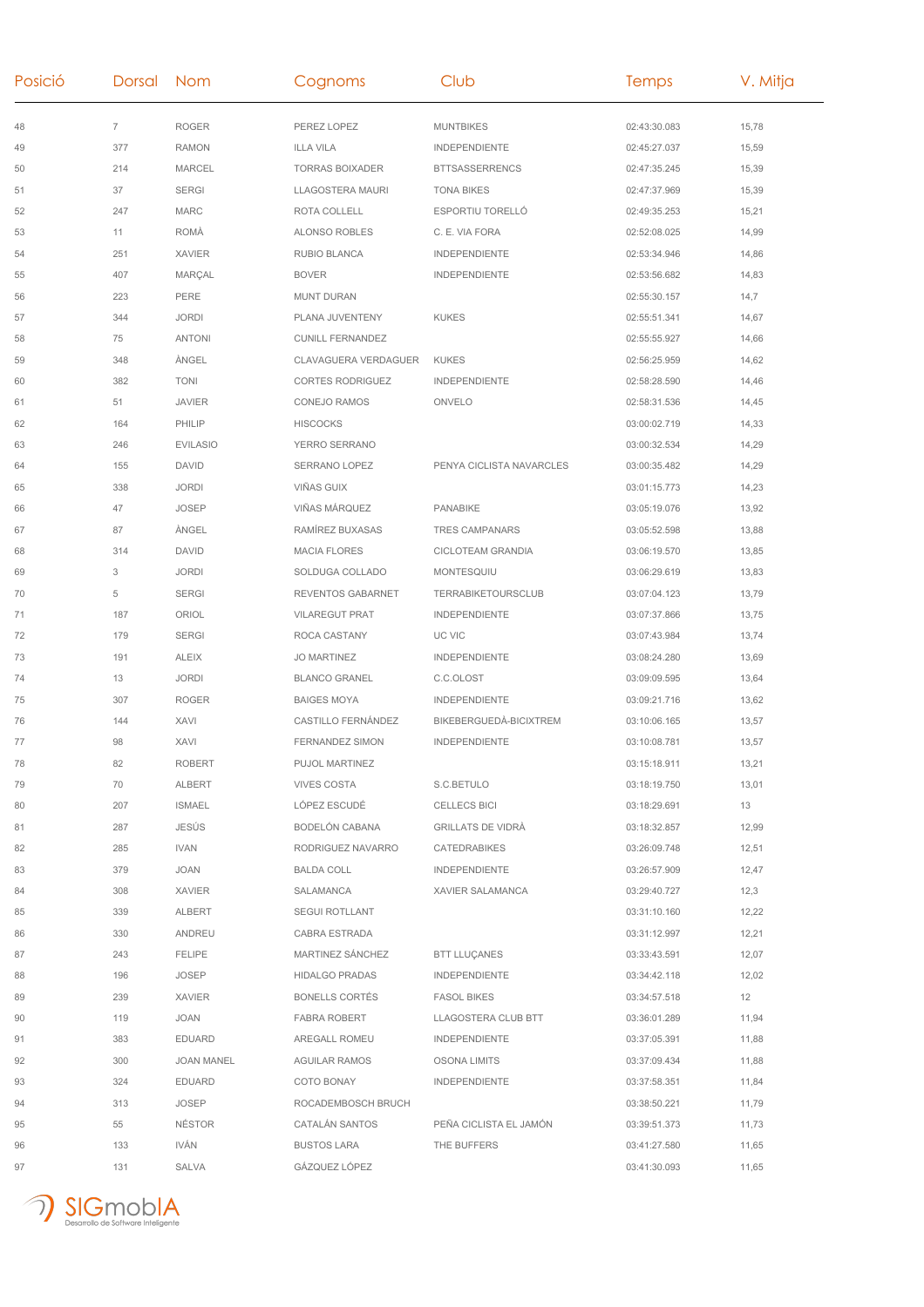| Posició | Dorsal Nom     |                   | Cognoms                 | Club                      | <b>Temps</b> | V. Mitja |
|---------|----------------|-------------------|-------------------------|---------------------------|--------------|----------|
| 48      | $\overline{7}$ | <b>ROGER</b>      | PEREZ LOPEZ             | <b>MUNTBIKES</b>          | 02:43:30.083 | 15,78    |
| 49      | 377            | <b>RAMON</b>      | <b>ILLA VILA</b>        | <b>INDEPENDIENTE</b>      | 02:45:27.037 | 15,59    |
| 50      | 214            | <b>MARCEL</b>     | <b>TORRAS BOIXADER</b>  | <b>BTTSASSERRENCS</b>     | 02:47:35.245 | 15,39    |
| 51      | 37             | <b>SERGI</b>      | LLAGOSTERA MAURI        | <b>TONA BIKES</b>         | 02:47:37.969 | 15,39    |
| 52      | 247            | <b>MARC</b>       | ROTA COLLELL            | ESPORTIU TORELLÓ          | 02:49:35.253 | 15,21    |
| 53      | 11             | <b>ROMÀ</b>       | <b>ALONSO ROBLES</b>    | C. E. VIA FORA            | 02:52:08.025 | 14,99    |
| 54      | 251            | <b>XAVIER</b>     | <b>RUBIO BLANCA</b>     | <b>INDEPENDIENTE</b>      | 02:53:34.946 | 14,86    |
| 55      | 407            | MARÇAL            | <b>BOVER</b>            | <b>INDEPENDIENTE</b>      | 02:53:56.682 | 14,83    |
| 56      | 223            | PERE              | <b>MUNT DURAN</b>       |                           | 02:55:30.157 | 14,7     |
| 57      | 344            | <b>JORDI</b>      | PLANA JUVENTENY         | <b>KUKES</b>              | 02:55:51.341 | 14,67    |
| 58      | 75             | <b>ANTONI</b>     | <b>CUNILL FERNANDEZ</b> |                           | 02:55:55.927 | 14,66    |
| 59      | 348            | ÀNGEL             | CLAVAGUERA VERDAGUER    | <b>KUKES</b>              | 02:56:25.959 | 14,62    |
| 60      | 382            | <b>TONI</b>       | <b>CORTES RODRIGUEZ</b> | <b>INDEPENDIENTE</b>      | 02:58:28.590 | 14,46    |
| 61      | 51             | <b>JAVIER</b>     | CONEJO RAMOS            | ONVELO                    | 02:58:31.536 | 14,45    |
| 62      | 164            | PHILIP            | <b>HISCOCKS</b>         |                           | 03:00:02.719 | 14,33    |
| 63      | 246            | <b>EVILASIO</b>   | YERRO SERRANO           |                           | 03:00:32.534 | 14,29    |
| 64      | 155            | <b>DAVID</b>      | <b>SERRANO LOPEZ</b>    | PENYA CICLISTA NAVARCLES  | 03:00:35.482 | 14,29    |
| 65      | 338            | <b>JORDI</b>      | VIÑAS GUIX              |                           | 03:01:15.773 | 14,23    |
| 66      | 47             | <b>JOSEP</b>      | VIÑAS MÁRQUEZ           | PANABIKE                  | 03:05:19.076 | 13,92    |
| 67      | 87             | ÀNGEL             | RAMÍREZ BUXASAS         | TRES CAMPANARS            | 03:05:52.598 | 13,88    |
| 68      | 314            | DAVID             | <b>MACIA FLORES</b>     | CICLOTEAM GRANDIA         | 03:06:19.570 | 13,85    |
| 69      | 3              | <b>JORDI</b>      | SOLDUGA COLLADO         | MONTESQUIU                | 03:06:29.619 | 13,83    |
| 70      | 5              | <b>SERGI</b>      | REVENTOS GABARNET       | <b>TERRABIKETOURSCLUB</b> | 03:07:04.123 | 13,79    |
| 71      | 187            | ORIOL             | <b>VILAREGUT PRAT</b>   | <b>INDEPENDIENTE</b>      | 03:07:37.866 | 13,75    |
| 72      | 179            | <b>SERGI</b>      | ROCA CASTANY            | UC VIC                    | 03:07:43.984 | 13,74    |
| 73      | 191            | <b>ALEIX</b>      | <b>JO MARTINEZ</b>      | <b>INDEPENDIENTE</b>      | 03:08:24.280 | 13,69    |
| 74      | 13             | <b>JORDI</b>      | <b>BLANCO GRANEL</b>    | C.C.OLOST                 | 03:09:09.595 | 13,64    |
| 75      | 307            | <b>ROGER</b>      | <b>BAIGES MOYA</b>      | <b>INDEPENDIENTE</b>      | 03:09:21.716 | 13,62    |
| 76      | 144            | XAVI              | CASTILLO FERNÁNDEZ      | BIKEBERGUEDÀ-BICIXTREM    | 03:10:06.165 | 13,57    |
| 77      | 98             | XAVI              | <b>FERNANDEZ SIMON</b>  | <b>INDEPENDIENTE</b>      | 03:10:08.781 | 13,57    |
| 78      | 82             | <b>ROBERT</b>     | PUJOL MARTINEZ          |                           | 03:15:18.911 | 13,21    |
| 79      | 70             | <b>ALBERT</b>     | <b>VIVES COSTA</b>      | S.C.BETULO                | 03:18:19.750 | 13,01    |
| 80      | 207            | <b>ISMAEL</b>     | LÓPEZ ESCUDÉ            | <b>CELLECS BICI</b>       | 03:18:29.691 | 13       |
| 81      | 287            | JESÚS             | BODELÓN CABANA          | <b>GRILLATS DE VIDRÀ</b>  | 03:18:32.857 | 12,99    |
| 82      | 285            | <b>IVAN</b>       | RODRIGUEZ NAVARRO       | CATEDRABIKES              | 03:26:09.748 | 12,51    |
| 83      | 379            | JOAN              | <b>BALDA COLL</b>       | <b>INDEPENDIENTE</b>      | 03:26:57.909 | 12,47    |
| 84      | 308            | <b>XAVIER</b>     | SALAMANCA               | XAVIER SALAMANCA          | 03:29:40.727 | 12,3     |
| 85      | 339            | ALBERT            | <b>SEGUI ROTLLANT</b>   |                           | 03:31:10.160 | 12,22    |
| 86      | 330            | ANDREU            | CABRA ESTRADA           |                           | 03:31:12.997 | 12,21    |
| 87      | 243            | <b>FELIPE</b>     | MARTINEZ SÁNCHEZ        | <b>BTT LLUÇANES</b>       | 03:33:43.591 | 12,07    |
| 88      | 196            | <b>JOSEP</b>      | <b>HIDALGO PRADAS</b>   | <b>INDEPENDIENTE</b>      | 03:34:42.118 | 12,02    |
| 89      | 239            | <b>XAVIER</b>     | <b>BONELLS CORTÉS</b>   | <b>FASOL BIKES</b>        | 03:34:57.518 | 12       |
| 90      | 119            | JOAN              | <b>FABRA ROBERT</b>     | LLAGOSTERA CLUB BTT       | 03:36:01.289 | 11,94    |
| 91      | 383            | <b>EDUARD</b>     | AREGALL ROMEU           | <b>INDEPENDIENTE</b>      | 03:37:05.391 | 11,88    |
| 92      | 300            | <b>JOAN MANEL</b> | <b>AGUILAR RAMOS</b>    | OSONA LIMITS              | 03:37:09.434 | 11,88    |
| 93      | 324            | <b>EDUARD</b>     | COTO BONAY              | <b>INDEPENDIENTE</b>      | 03:37:58.351 | 11,84    |
| 94      | 313            | JOSEP             | ROCADEMBOSCH BRUCH      |                           | 03:38:50.221 | 11,79    |
| 95      | 55             | <b>NÉSTOR</b>     | CATALÁN SANTOS          | PEÑA CICLISTA EL JAMÓN    | 03:39:51.373 | 11,73    |
| 96      | 133            | IVÁN              | <b>BUSTOS LARA</b>      | THE BUFFERS               | 03:41:27.580 | 11,65    |
| 97      | 131            | SALVA             | GÁZQUEZ LÓPEZ           |                           | 03:41:30.093 | 11,65    |
|         |                |                   |                         |                           |              |          |